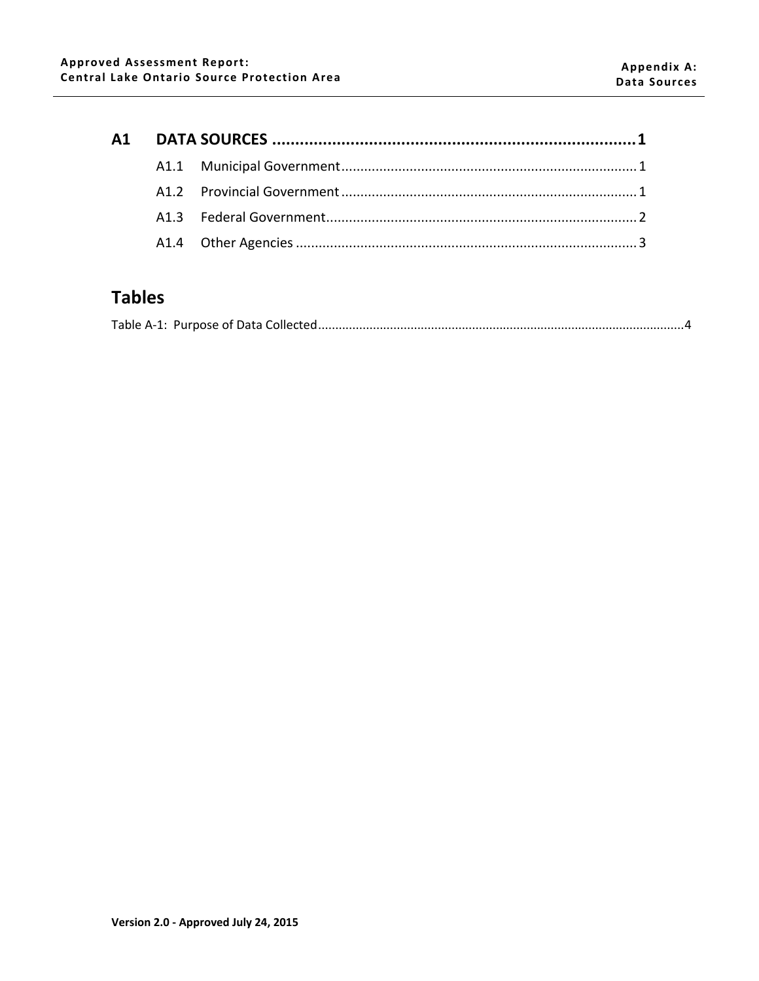# **Tables**

|--|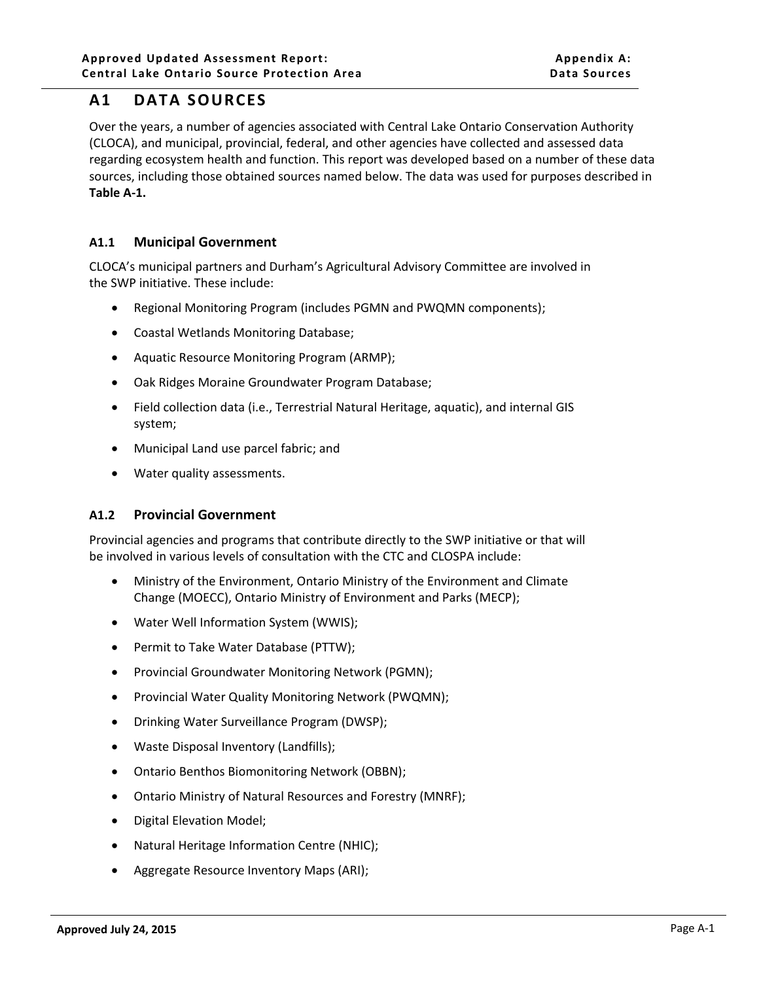# <span id="page-1-0"></span>**A1 DATA SOURCES**

Over the years, a number of agencies associated with Central Lake Ontario Conservation Authority (CLOCA), and municipal, provincial, federal, and other agencies have collected and assessed data regarding ecosystem health and function. This report was developed based on a number of these data sources, including those obtained sources named below. The data was used for purposes described in **Table A-1.**

## <span id="page-1-1"></span>**A1.1 Municipal Government**

CLOCA's municipal partners and Durham's Agricultural Advisory Committee are involved in the SWP initiative. These include:

- Regional Monitoring Program (includes PGMN and PWQMN components);
- Coastal Wetlands Monitoring Database;
- Aquatic Resource Monitoring Program (ARMP);
- Oak Ridges Moraine Groundwater Program Database;
- Field collection data (i.e., Terrestrial Natural Heritage, aquatic), and internal GIS system;
- Municipal Land use parcel fabric; and
- Water quality assessments.

## <span id="page-1-2"></span>**A1.2 Provincial Government**

Provincial agencies and programs that contribute directly to the SWP initiative or that will be involved in various levels of consultation with the CTC and CLOSPA include:

- Ministry of the Environment, Ontario Ministry of the Environment and Climate Change (MOECC), Ontario Ministry of Environment and Parks (MECP);
- Water Well Information System (WWIS);
- Permit to Take Water Database (PTTW);
- Provincial Groundwater Monitoring Network (PGMN);
- Provincial Water Quality Monitoring Network (PWQMN);
- Drinking Water Surveillance Program (DWSP);
- Waste Disposal Inventory (Landfills);
- Ontario Benthos Biomonitoring Network (OBBN);
- Ontario Ministry of Natural Resources and Forestry (MNRF);
- Digital Elevation Model;
- Natural Heritage Information Centre (NHIC);
- Aggregate Resource Inventory Maps (ARI);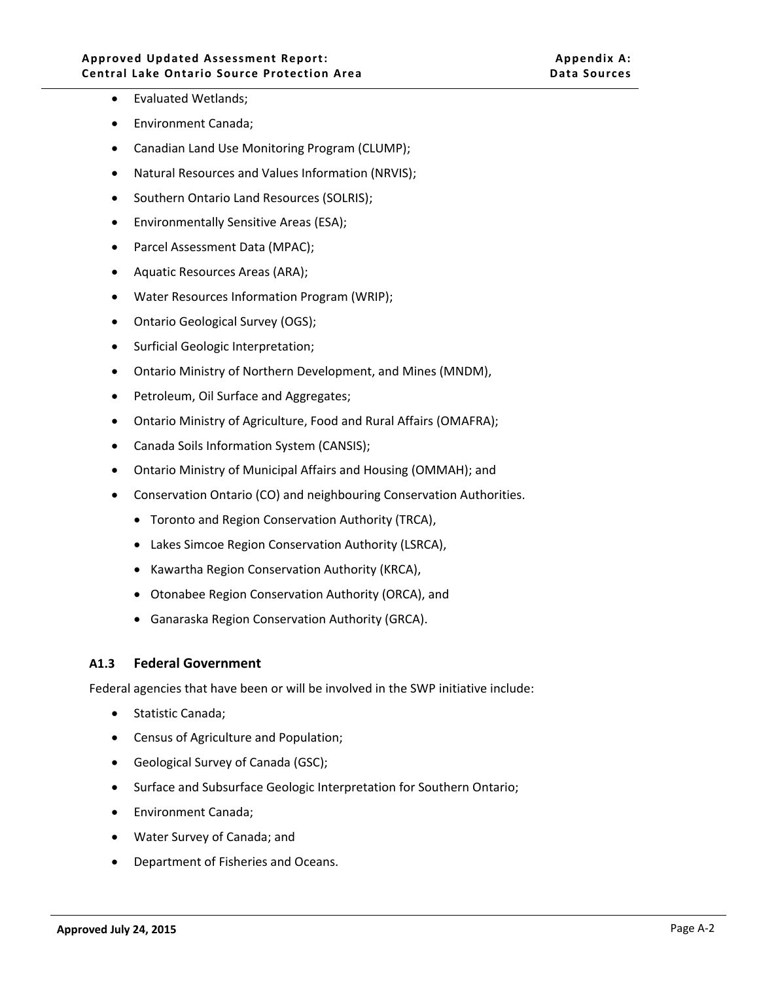- Evaluated Wetlands;
- Environment Canada;
- Canadian Land Use Monitoring Program (CLUMP);
- Natural Resources and Values Information (NRVIS);
- Southern Ontario Land Resources (SOLRIS);
- Environmentally Sensitive Areas (ESA);
- Parcel Assessment Data (MPAC);
- Aquatic Resources Areas (ARA);
- Water Resources Information Program (WRIP);
- Ontario Geological Survey (OGS);
- Surficial Geologic Interpretation;
- Ontario Ministry of Northern Development, and Mines (MNDM),
- Petroleum, Oil Surface and Aggregates;
- Ontario Ministry of Agriculture, Food and Rural Affairs (OMAFRA);
- Canada Soils Information System (CANSIS);
- Ontario Ministry of Municipal Affairs and Housing (OMMAH); and
- Conservation Ontario (CO) and neighbouring Conservation Authorities.
	- Toronto and Region Conservation Authority (TRCA),
	- Lakes Simcoe Region Conservation Authority (LSRCA),
	- Kawartha Region Conservation Authority (KRCA),
	- Otonabee Region Conservation Authority (ORCA), and
	- Ganaraska Region Conservation Authority (GRCA).

#### <span id="page-2-0"></span>**A1.3 Federal Government**

Federal agencies that have been or will be involved in the SWP initiative include:

- Statistic Canada;
- Census of Agriculture and Population;
- Geological Survey of Canada (GSC);
- Surface and Subsurface Geologic Interpretation for Southern Ontario;
- Environment Canada;
- Water Survey of Canada; and
- Department of Fisheries and Oceans.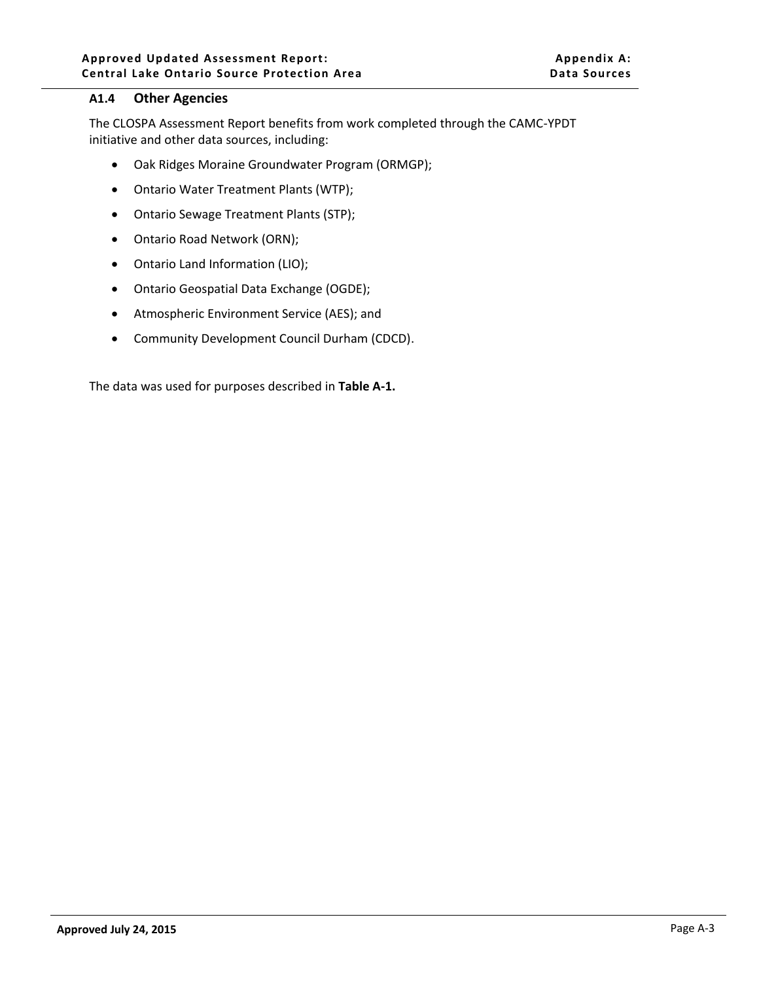#### <span id="page-3-0"></span>**A1.4 Other Agencies**

The CLOSPA Assessment Report benefits from work completed through the CAMC-YPDT initiative and other data sources, including:

- Oak Ridges Moraine Groundwater Program (ORMGP);
- Ontario Water Treatment Plants (WTP);
- Ontario Sewage Treatment Plants (STP);
- Ontario Road Network (ORN);
- Ontario Land Information (LIO);
- Ontario Geospatial Data Exchange (OGDE);
- Atmospheric Environment Service (AES); and
- Community Development Council Durham (CDCD).

The data was used for purposes described in **[Table A-1.](#page-4-0)**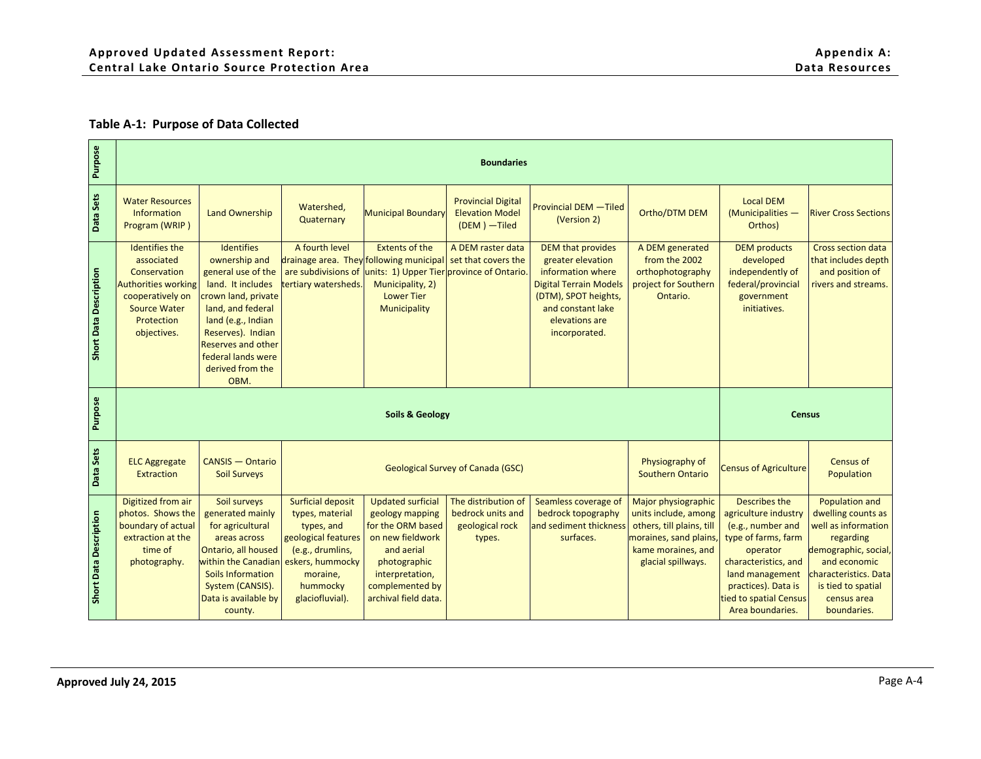#### **Table A-1: Purpose of Data Collected**

<span id="page-4-0"></span>

| Purpose                       |                                                                                                                                                           |                                                                                                                                                                                                                                                     |                                                                                                          |                                                                                                        | <b>Boundaries</b>                                                    |                                                                                                                                                                                     |                                                                                          |                                                                                                          |                                                                                            |
|-------------------------------|-----------------------------------------------------------------------------------------------------------------------------------------------------------|-----------------------------------------------------------------------------------------------------------------------------------------------------------------------------------------------------------------------------------------------------|----------------------------------------------------------------------------------------------------------|--------------------------------------------------------------------------------------------------------|----------------------------------------------------------------------|-------------------------------------------------------------------------------------------------------------------------------------------------------------------------------------|------------------------------------------------------------------------------------------|----------------------------------------------------------------------------------------------------------|--------------------------------------------------------------------------------------------|
| Data Sets                     | <b>Water Resources</b><br><b>Information</b><br>Program (WRIP)                                                                                            | <b>Land Ownership</b>                                                                                                                                                                                                                               | Watershed,<br>Quaternary                                                                                 | <b>Municipal Boundary</b>                                                                              | <b>Provincial Digital</b><br><b>Elevation Model</b><br>(DEM) - Tiled | <b>Provincial DEM - Tiled</b><br>(Version 2)                                                                                                                                        | Ortho/DTM DEM                                                                            | <b>Local DEM</b><br>(Municipalities -<br>Orthos)                                                         | <b>River Cross Sections</b>                                                                |
| <b>Short Data Description</b> | <b>Identifies the</b><br>associated<br>Conservation<br><b>Authorities working</b><br>cooperatively on<br><b>Source Water</b><br>Protection<br>objectives. | <b>Identifies</b><br>ownership and<br>general use of the<br>land. It includes<br>crown land, private<br>land, and federal<br>land (e.g., Indian<br>Reserves). Indian<br><b>Reserves and other</b><br>federal lands were<br>derived from the<br>OBM. | A fourth level<br>drainage area. They following municipal<br>are subdivisions of<br>tertiary watersheds. | <b>Extents of the</b><br>units: 1) Upper Tier<br>Municipality, 2)<br><b>Lower Tier</b><br>Municipality | A DEM raster data<br>set that covers the<br>province of Ontario.     | <b>DEM that provides</b><br>greater elevation<br>information where<br><b>Digital Terrain Models</b><br>(DTM), SPOT heights,<br>and constant lake<br>elevations are<br>incorporated. | A DEM generated<br>from the 2002<br>orthophotography<br>project for Southern<br>Ontario. | <b>DEM</b> products<br>developed<br>independently of<br>federal/provincial<br>government<br>initiatives. | <b>Cross section data</b><br>that includes depth<br>and position of<br>rivers and streams. |
| Purpose                       |                                                                                                                                                           |                                                                                                                                                                                                                                                     |                                                                                                          | <b>Soils &amp; Geology</b>                                                                             |                                                                      |                                                                                                                                                                                     |                                                                                          | <b>Census</b>                                                                                            |                                                                                            |
| Data Sets                     | <b>ELC Aggregate</b><br><b>Extraction</b>                                                                                                                 | <b>CANSIS - Ontario</b><br><b>Soil Surveys</b>                                                                                                                                                                                                      |                                                                                                          |                                                                                                        | <b>Geological Survey of Canada (GSC)</b>                             |                                                                                                                                                                                     | Physiography of                                                                          | <b>Census of Agriculture</b>                                                                             | <b>Census of</b><br>Population                                                             |
|                               |                                                                                                                                                           |                                                                                                                                                                                                                                                     |                                                                                                          |                                                                                                        |                                                                      |                                                                                                                                                                                     | <b>Southern Ontario</b>                                                                  |                                                                                                          |                                                                                            |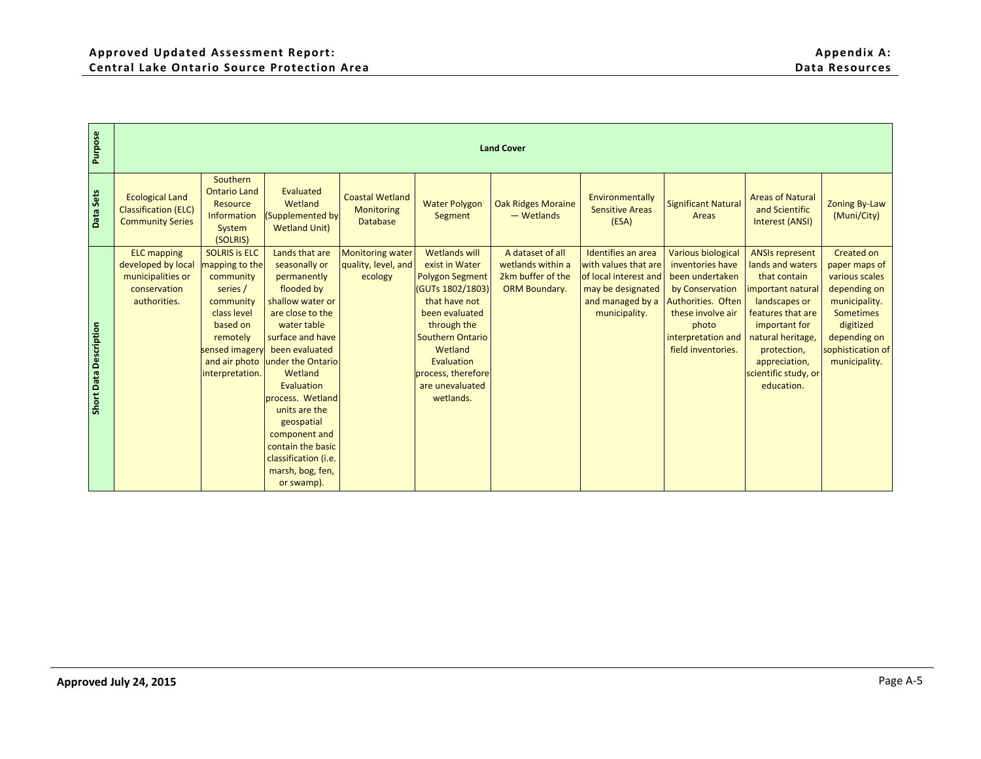| Southern<br><b>Ontario Land</b><br>Evaluated<br><b>Ecological Land</b><br><b>Coastal Wetland</b><br>Environmentally<br><b>Areas of Natural</b><br>Wetland<br><b>Water Polygon</b><br><b>Oak Ridges Moraine</b><br><b>Significant Natural</b><br>Resource<br><b>Classification (ELC)</b><br><b>Sensitive Areas</b><br>and Scientific<br>Monitoring<br>- Wetlands<br>(Supplemented by<br>Segment<br>Areas<br>Information<br><b>Database</b><br><b>Community Series</b><br>(ESA)<br><b>Interest (ANSI)</b><br><b>Wetland Unit)</b><br>System<br>(SOLRIS)<br><b>ELC</b> mapping<br><b>SOLRIS is ELC</b><br>Lands that are<br><b>Wetlands will</b><br>A dataset of all<br>Identifies an area<br><b>Various biological</b><br><b>ANSIs represent</b><br><b>Monitoring water</b><br>developed by local<br>mapping to the<br>seasonally or<br>quality, level, and<br>exist in Water<br>wetlands within a<br>with values that are<br>inventories have<br>lands and waters<br>municipalities or<br>community<br>permanently<br>ecology<br><b>Polygon Segment</b><br>2km buffer of the<br>of local interest and<br>been undertaken<br>that contain<br>conservation<br>series /<br>flooded by<br>(GUTs 1802/1803)<br><b>ORM Boundary.</b><br>may be designated<br>by Conservation<br>important natural<br>authorities.<br>shallow water or<br>that have not<br>and managed by a<br>Authorities. Often<br>landscapes or<br>community<br>class level<br>are close to the<br>been evaluated<br>municipality.<br>these involve air<br>features that are<br>based on<br>water table<br>through the<br>important for<br>photo<br>remotely<br>surface and have<br><b>Southern Ontario</b><br>interpretation and<br>natural heritage,<br>been evaluated<br>Wetland<br>field inventories.<br>sensed imagery<br>protection,<br>and air photo under the Ontario<br>Evaluation<br>appreciation,<br>process, therefore<br>interpretation.<br>Wetland<br>scientific study, or<br>Evaluation<br>are unevaluated<br>education.<br>process. Wetland<br>wetlands. | <b>Zoning By-Law</b><br>(Muni/City)<br>Created on<br>paper maps of<br>various scales<br>depending on<br>municipality.<br><b>Sometimes</b><br>digitized<br>depending on<br>sophistication of<br>municipality.<br>units are the<br>geospatial<br>component and<br>contain the basic<br>classification (i.e.<br>marsh, bog, fen,<br>or swamp). | Purpose                |  |  | <b>Land Cover</b> |  |  |
|-------------------------------------------------------------------------------------------------------------------------------------------------------------------------------------------------------------------------------------------------------------------------------------------------------------------------------------------------------------------------------------------------------------------------------------------------------------------------------------------------------------------------------------------------------------------------------------------------------------------------------------------------------------------------------------------------------------------------------------------------------------------------------------------------------------------------------------------------------------------------------------------------------------------------------------------------------------------------------------------------------------------------------------------------------------------------------------------------------------------------------------------------------------------------------------------------------------------------------------------------------------------------------------------------------------------------------------------------------------------------------------------------------------------------------------------------------------------------------------------------------------------------------------------------------------------------------------------------------------------------------------------------------------------------------------------------------------------------------------------------------------------------------------------------------------------------------------------------------------------------------------------------------------------------------------------------------------------------------------------------------------------------------------|---------------------------------------------------------------------------------------------------------------------------------------------------------------------------------------------------------------------------------------------------------------------------------------------------------------------------------------------|------------------------|--|--|-------------------|--|--|
|                                                                                                                                                                                                                                                                                                                                                                                                                                                                                                                                                                                                                                                                                                                                                                                                                                                                                                                                                                                                                                                                                                                                                                                                                                                                                                                                                                                                                                                                                                                                                                                                                                                                                                                                                                                                                                                                                                                                                                                                                                     |                                                                                                                                                                                                                                                                                                                                             | Data Sets              |  |  |                   |  |  |
|                                                                                                                                                                                                                                                                                                                                                                                                                                                                                                                                                                                                                                                                                                                                                                                                                                                                                                                                                                                                                                                                                                                                                                                                                                                                                                                                                                                                                                                                                                                                                                                                                                                                                                                                                                                                                                                                                                                                                                                                                                     |                                                                                                                                                                                                                                                                                                                                             | Short Data Description |  |  |                   |  |  |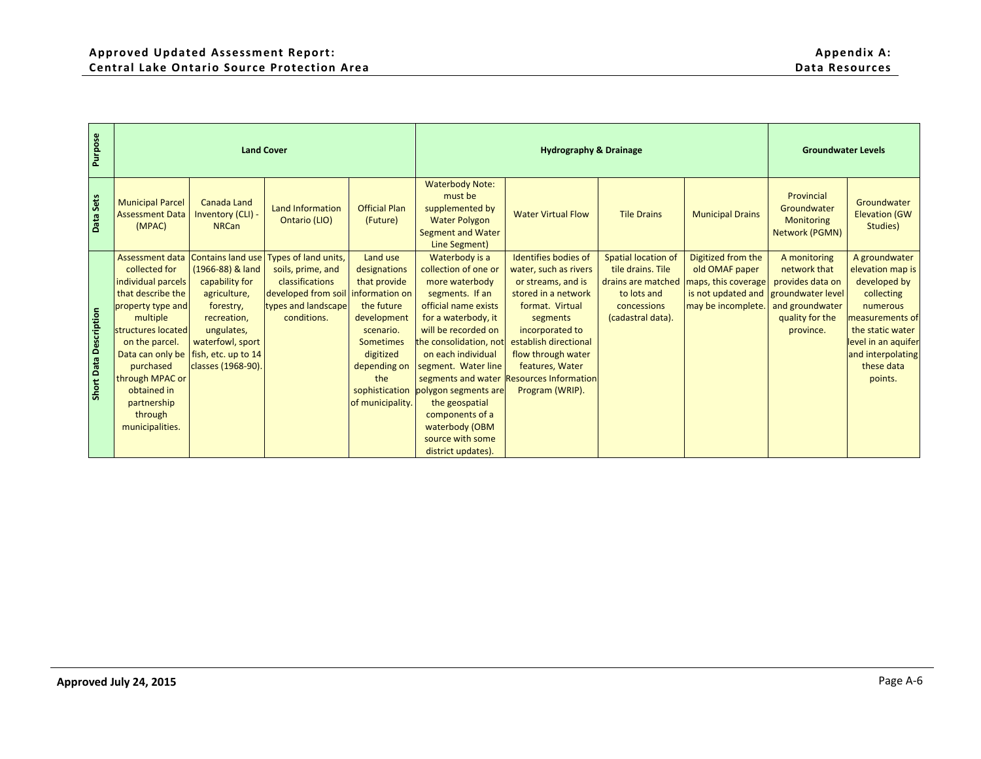|                        |                                                                                                                                                                                                                                                                      | <b>Land Cover</b>                                                                                                                                                                  |                                                                                                                           |                                                                                                                                                                                                    |                                                                                                                                                                                                                                                                                                                                                   | <b>Hydrography &amp; Drainage</b>                                                                                                                                                                                                                                             |                                                                                                                          |                                                                                                         | <b>Groundwater Levels</b>                                                                                                |                                                                                                                                                                                         |
|------------------------|----------------------------------------------------------------------------------------------------------------------------------------------------------------------------------------------------------------------------------------------------------------------|------------------------------------------------------------------------------------------------------------------------------------------------------------------------------------|---------------------------------------------------------------------------------------------------------------------------|----------------------------------------------------------------------------------------------------------------------------------------------------------------------------------------------------|---------------------------------------------------------------------------------------------------------------------------------------------------------------------------------------------------------------------------------------------------------------------------------------------------------------------------------------------------|-------------------------------------------------------------------------------------------------------------------------------------------------------------------------------------------------------------------------------------------------------------------------------|--------------------------------------------------------------------------------------------------------------------------|---------------------------------------------------------------------------------------------------------|--------------------------------------------------------------------------------------------------------------------------|-----------------------------------------------------------------------------------------------------------------------------------------------------------------------------------------|
| Data Sets              | <b>Municipal Parcel</b><br><b>Assessment Data</b><br>(MPAC)                                                                                                                                                                                                          | <b>Canada Land</b><br>Inventory (CLI) -<br><b>NRCan</b>                                                                                                                            | Land Information<br>Ontario (LIO)                                                                                         | <b>Official Plan</b><br>(Future)                                                                                                                                                                   | <b>Waterbody Note:</b><br>must be<br>supplemented by<br><b>Water Polygon</b><br><b>Segment and Water</b><br>Line Segment)                                                                                                                                                                                                                         | <b>Water Virtual Flow</b>                                                                                                                                                                                                                                                     | <b>Tile Drains</b>                                                                                                       | <b>Municipal Drains</b>                                                                                 | Provincial<br>Groundwater<br><b>Monitoring</b><br><b>Network (PGMN)</b>                                                  | Groundwater<br><b>Elevation (GW</b><br>Studies)                                                                                                                                         |
| Short Data Description | Assessment data<br>collected for<br>individual parcels<br>that describe the<br>property type and<br>multiple<br>structures located<br>on the parcel.<br>Data can only be<br>purchased<br>through MPAC or<br>obtained in<br>partnership<br>through<br>municipalities. | Contains land use<br>(1966-88) & land<br>capability for<br>agriculture,<br>forestry,<br>recreation,<br>ungulates,<br>waterfowl, sport<br>fish, etc. up to 14<br>classes (1968-90). | Types of land units,<br>soils, prime, and<br>classifications<br>developed from soil<br>types and landscape<br>conditions. | Land use<br>designations<br>that provide<br>information on<br>the future<br>development<br>scenario.<br><b>Sometimes</b><br>digitized<br>depending on<br>the<br>sophistication<br>of municipality. | Waterbody is a<br>collection of one or<br>more waterbody<br>segments. If an<br>official name exists<br>for a waterbody, it<br>will be recorded on<br>the consolidation, not<br>on each individual<br>segment. Water line<br>polygon segments are<br>the geospatial<br>components of a<br>waterbody (OBM<br>source with some<br>district updates). | Identifies bodies of<br>water, such as rivers<br>or streams, and is<br>stored in a network<br>format. Virtual<br>segments<br>incorporated to<br>establish directional<br>flow through water<br>features, Water<br>segments and water Resources Information<br>Program (WRIP). | <b>Spatial location of</b><br>tile drains. Tile<br>drains are matched<br>to lots and<br>concessions<br>(cadastral data). | Digitized from the<br>old OMAF paper<br>maps, this coverage<br>is not updated and<br>may be incomplete. | A monitoring<br>network that<br>provides data on<br>groundwater level<br>and groundwater<br>quality for the<br>province. | A groundwater<br>elevation map is<br>developed by<br>collecting<br>numerous<br>measurements of<br>the static water<br>level in an aquifer<br>and interpolating<br>these data<br>points. |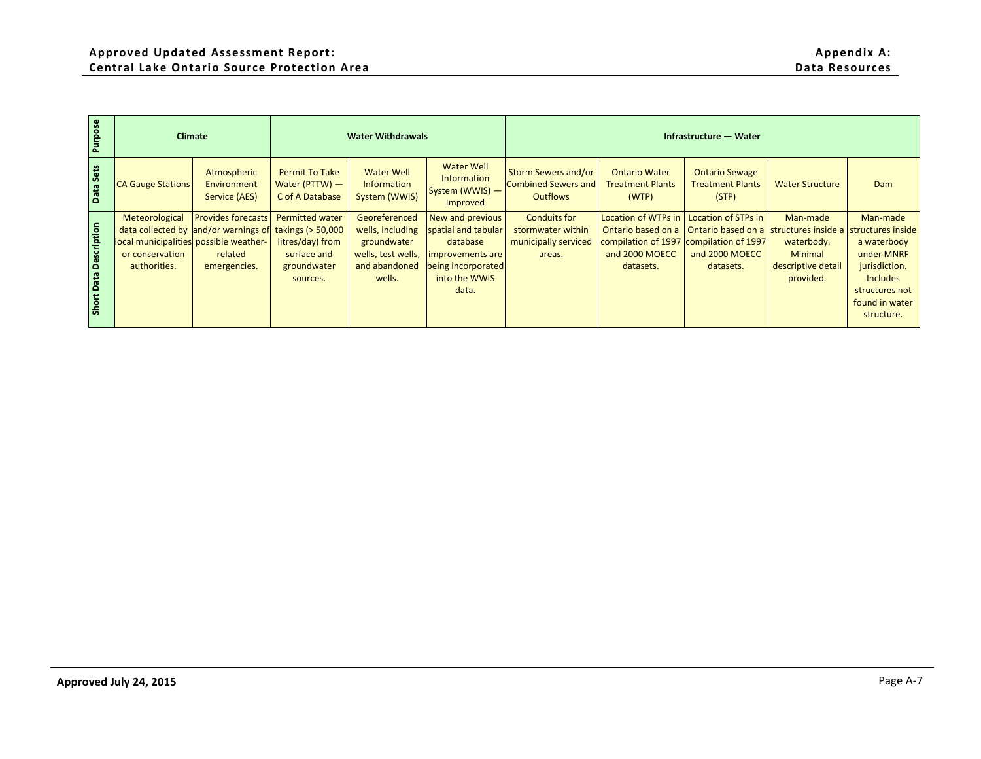| Purpose                |                                                                                             | Climate                                                                                      |                                                                                                           | <b>Water Withdrawals</b>                                                                          |                                                                                                                         |                                                                             |                                                                                                 | Infrastructure - Water                                                                                              |                                                                      |                                                                                                                                           |
|------------------------|---------------------------------------------------------------------------------------------|----------------------------------------------------------------------------------------------|-----------------------------------------------------------------------------------------------------------|---------------------------------------------------------------------------------------------------|-------------------------------------------------------------------------------------------------------------------------|-----------------------------------------------------------------------------|-------------------------------------------------------------------------------------------------|---------------------------------------------------------------------------------------------------------------------|----------------------------------------------------------------------|-------------------------------------------------------------------------------------------------------------------------------------------|
| Data Sets              | <b>CA Gauge Stations</b>                                                                    | Atmospheric<br>Environment<br>Service (AES)                                                  | <b>Permit To Take</b><br>Water (PTTW) -<br>C of A Database                                                | <b>Water Well</b><br>Information<br>System (WWIS)                                                 | <b>Water Well</b><br>Information<br>System (WWIS) -<br>Improved                                                         | <b>Storm Sewers and/or</b><br><b>Combined Sewers and</b><br><b>Outflows</b> | <b>Ontario Water</b><br><b>Treatment Plants</b><br>(WTP)                                        | <b>Ontario Sewage</b><br><b>Treatment Plants</b><br>(STP)                                                           | <b>Water Structure</b>                                               | Dam                                                                                                                                       |
| Short Data Description | Meteorological<br>local municipalities possible weather-<br>or conservation<br>authorities. | <b>Provides forecasts</b><br>data collected by and/or warnings of<br>related<br>emergencies. | <b>Permitted water</b><br>takings (> 50,000<br>litres/day) from<br>surface and<br>groundwater<br>sources. | Georeferenced<br>wells, including<br>groundwater<br>wells, test wells,<br>and abandoned<br>wells. | New and previous<br>spatial and tabular<br>database<br>improvements are<br>being incorporated<br>into the WWIS<br>data. | <b>Conduits for</b><br>stormwater within<br>municipally serviced<br>areas.  | Location of WTPs in<br>Ontario based on a<br>compilation of 1997<br>and 2000 MOECC<br>datasets. | Location of STPs in<br>Ontario based on a structures inside a<br>compilation of 1997<br>and 2000 MOECC<br>datasets. | Man-made<br>waterbody.<br>Minimal<br>descriptive detail<br>provided. | Man-made<br>structures inside<br>a waterbody<br>under MNRF<br>jurisdiction.<br>Includes<br>structures not<br>found in water<br>structure. |
|                        |                                                                                             |                                                                                              |                                                                                                           |                                                                                                   |                                                                                                                         |                                                                             |                                                                                                 |                                                                                                                     |                                                                      |                                                                                                                                           |
|                        |                                                                                             |                                                                                              |                                                                                                           |                                                                                                   |                                                                                                                         |                                                                             |                                                                                                 |                                                                                                                     |                                                                      |                                                                                                                                           |
|                        |                                                                                             |                                                                                              |                                                                                                           |                                                                                                   |                                                                                                                         |                                                                             |                                                                                                 |                                                                                                                     |                                                                      |                                                                                                                                           |
|                        |                                                                                             |                                                                                              |                                                                                                           |                                                                                                   |                                                                                                                         |                                                                             |                                                                                                 |                                                                                                                     |                                                                      |                                                                                                                                           |
|                        |                                                                                             |                                                                                              |                                                                                                           |                                                                                                   |                                                                                                                         |                                                                             |                                                                                                 |                                                                                                                     |                                                                      |                                                                                                                                           |
|                        | Approved July 24, 2015                                                                      |                                                                                              |                                                                                                           |                                                                                                   |                                                                                                                         |                                                                             |                                                                                                 |                                                                                                                     |                                                                      | Page A-7                                                                                                                                  |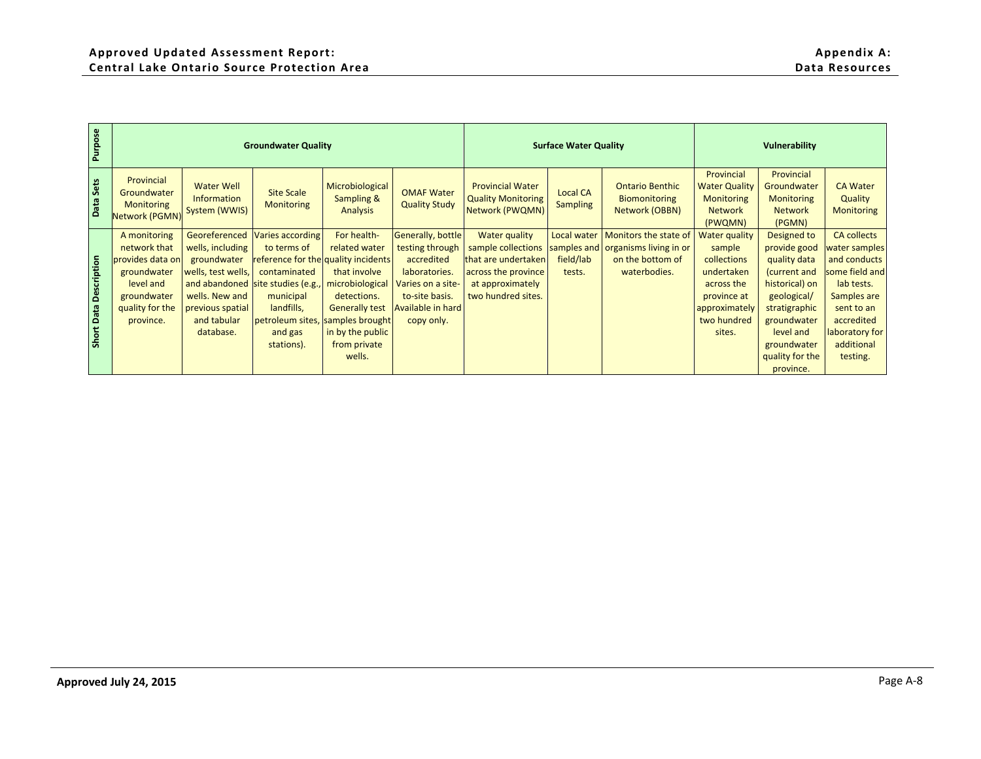| Provincial<br>Provincial<br>Provincial<br><b>Water Well</b><br>Microbiological<br><b>Provincial Water</b><br><b>Ontario Benthic</b><br><b>Water Quality</b><br>Groundwater<br><b>CA Water</b><br><b>OMAF Water</b><br><b>Site Scale</b><br><b>Local CA</b><br>Groundwater<br>Information<br><b>Sampling &amp;</b><br><b>Quality Monitoring</b><br>Biomonitoring<br><b>Monitoring</b><br>Quality<br><b>Monitoring</b><br><b>Quality Study</b><br><b>Monitoring</b><br>Monitoring<br>Sampling<br>Network (PWQMN)<br>System (WWIS)<br>Analysis<br>Network<br><b>Monitoring</b><br>Network (OBBN)<br><b>Network</b><br>Network (PGMN)<br>(PWQMN)<br>(PGMN)<br>Georeferenced<br>Varies according<br>For health-<br>Generally, bottle<br><b>Water quality</b><br>Monitors the state of<br><b>Water quality</b><br><b>CA collects</b><br>A monitoring<br>Local water<br>Designed to<br>network that<br>related water<br>sample collections<br>wells, including<br>to terms of<br>testing through<br>samples and organisms living in or<br>sample<br>provide good<br>water samples<br>accredited<br>field/lab<br>provides data on<br>groundwater<br>reference for the quality incidents<br>that are undertaken<br>on the bottom of<br>collections<br>quality data<br>and conducts<br>groundwater<br>contaminated<br>that involve<br>across the province<br>waterbodies.<br>some field and<br>wells, test wells,<br>laboratories.<br>tests.<br>undertaken<br>(current and<br>level and<br>and abandoned site studies (e.g.,<br>microbiological<br>Varies on a site-<br>at approximately<br>across the<br>historical) on<br>lab tests. |
|------------------------------------------------------------------------------------------------------------------------------------------------------------------------------------------------------------------------------------------------------------------------------------------------------------------------------------------------------------------------------------------------------------------------------------------------------------------------------------------------------------------------------------------------------------------------------------------------------------------------------------------------------------------------------------------------------------------------------------------------------------------------------------------------------------------------------------------------------------------------------------------------------------------------------------------------------------------------------------------------------------------------------------------------------------------------------------------------------------------------------------------------------------------------------------------------------------------------------------------------------------------------------------------------------------------------------------------------------------------------------------------------------------------------------------------------------------------------------------------------------------------------------------------------------------------------------------------------------------------------------|
|                                                                                                                                                                                                                                                                                                                                                                                                                                                                                                                                                                                                                                                                                                                                                                                                                                                                                                                                                                                                                                                                                                                                                                                                                                                                                                                                                                                                                                                                                                                                                                                                                              |
| wells. New and<br>two hundred sites.<br>groundwater<br>municipal<br>detections.<br>to-site basis.<br>province at<br>geological/<br>Samples are<br>landfills,<br>quality for the<br>previous spatial<br><b>Generally test</b><br>Available in hard<br>approximately<br>stratigraphic<br>sent to an<br>and tabular<br>petroleum sites, samples brought<br>two hundred<br>accredited<br>province.<br>copy only.<br>groundwater<br>database.<br>and gas<br>in by the public<br>sites.<br>level and<br>laboratory for<br>stations).<br>from private<br>additional<br>groundwater<br>wells.<br>quality for the<br>testing.<br>province.                                                                                                                                                                                                                                                                                                                                                                                                                                                                                                                                                                                                                                                                                                                                                                                                                                                                                                                                                                                            |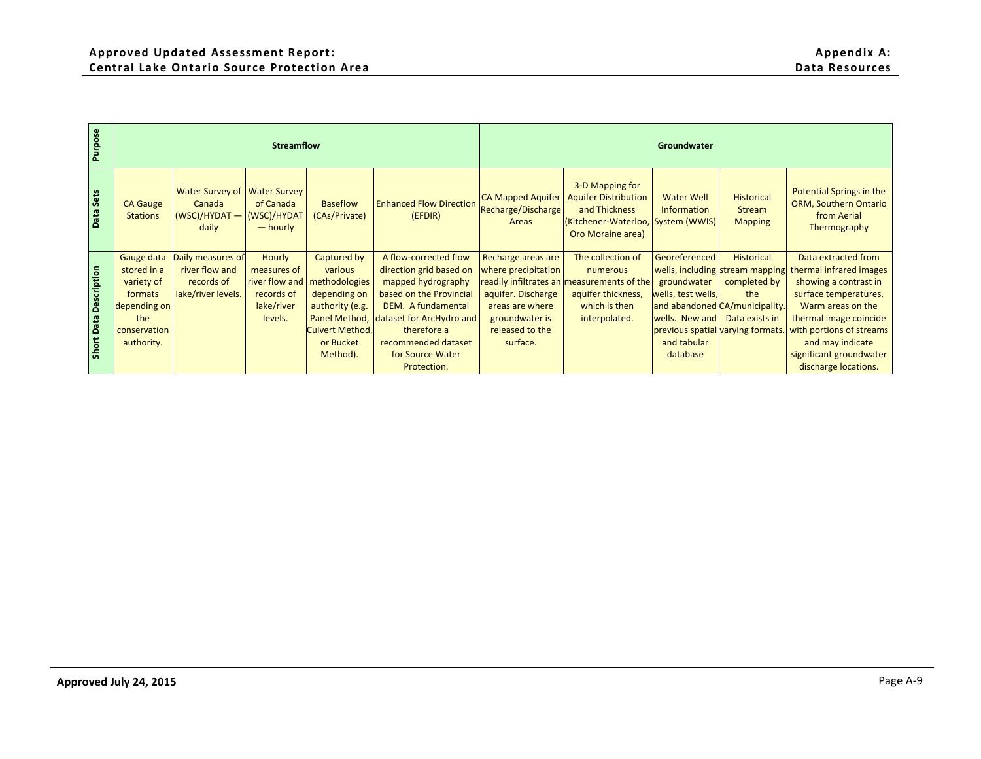| 3-D Mapping for<br>Water Survey of<br>Potential Springs in the<br><b>Water Survey</b><br><b>Aquifer Distribution</b><br><b>CA Mapped Aquifer</b><br><b>Water Well</b><br><b>Historical</b><br>of Canada<br><b>Baseflow</b><br><b>Enhanced Flow Direction</b><br>ORM, Southern Ontario<br><b>CA Gauge</b><br>Canada<br>Recharge/Discharge<br>and Thickness<br>Information<br><b>Stream</b><br>(WSC)/HYDAT -<br>(WSC)/HYDAT<br>(CAs/Private)<br>from Aerial<br><b>Stations</b><br>(EFDIR)<br>(Kitchener-Waterloo,<br>System (WWIS)<br>Areas<br><b>Mapping</b><br>daily<br>$-$ hourly<br>Thermography<br>Oro Moraine area)<br>A flow-corrected flow<br>Georeferenced<br>Historical<br>Daily measures of<br>Hourly<br>The collection of<br>Data extracted from<br>Gauge data<br>Captured by<br>Recharge areas are<br>stored in a<br>river flow and<br>measures of<br>direction grid based on<br>wells, including<br>various<br>where precipitation<br>numerous<br>stream mapping<br>thermal infrared images<br>records of<br>river flow and<br>methodologies<br>variety of<br>mapped hydrography<br>readily infiltrates an measurements of the<br>completed by<br>showing a contrast in<br>groundwater<br>lake/river levels.<br>based on the Provincial<br>aquifer. Discharge<br>surface temperatures.<br>formats<br>records of<br>depending on<br>aquifer thickness,<br>wells, test wells,<br>the<br>lake/river<br>authority (e.g.<br>DEM. A fundamental<br>which is then<br>Warm areas on the<br>depending on<br>areas are where<br>and abandoned CA/municipality.<br>Panel Method,<br>dataset for ArcHydro and<br>thermal image coincide<br>the<br>levels.<br>groundwater is<br>interpolated.<br>wells. New and<br>Data exists in | Purpose                |              | <b>Streamflow</b> |                        |             |                 | Groundwater |                          |
|----------------------------------------------------------------------------------------------------------------------------------------------------------------------------------------------------------------------------------------------------------------------------------------------------------------------------------------------------------------------------------------------------------------------------------------------------------------------------------------------------------------------------------------------------------------------------------------------------------------------------------------------------------------------------------------------------------------------------------------------------------------------------------------------------------------------------------------------------------------------------------------------------------------------------------------------------------------------------------------------------------------------------------------------------------------------------------------------------------------------------------------------------------------------------------------------------------------------------------------------------------------------------------------------------------------------------------------------------------------------------------------------------------------------------------------------------------------------------------------------------------------------------------------------------------------------------------------------------------------------------------------------------------------------------------------------------------------------------------|------------------------|--------------|-------------------|------------------------|-------------|-----------------|-------------|--------------------------|
|                                                                                                                                                                                                                                                                                                                                                                                                                                                                                                                                                                                                                                                                                                                                                                                                                                                                                                                                                                                                                                                                                                                                                                                                                                                                                                                                                                                                                                                                                                                                                                                                                                                                                                                                  | Data Sets              |              |                   |                        |             |                 |             |                          |
| previous spatial varying formats.<br>or Bucket<br>surface.<br>and may indicate<br>authority.<br>recommended dataset<br>and tabular<br>Method).<br>significant groundwater<br>for Source Water<br>database<br>discharge locations.<br>Protection.                                                                                                                                                                                                                                                                                                                                                                                                                                                                                                                                                                                                                                                                                                                                                                                                                                                                                                                                                                                                                                                                                                                                                                                                                                                                                                                                                                                                                                                                                 | Short Data Description | conservation |                   | <b>Culvert Method,</b> | therefore a | released to the |             | with portions of streams |
|                                                                                                                                                                                                                                                                                                                                                                                                                                                                                                                                                                                                                                                                                                                                                                                                                                                                                                                                                                                                                                                                                                                                                                                                                                                                                                                                                                                                                                                                                                                                                                                                                                                                                                                                  |                        |              |                   |                        |             |                 |             |                          |
|                                                                                                                                                                                                                                                                                                                                                                                                                                                                                                                                                                                                                                                                                                                                                                                                                                                                                                                                                                                                                                                                                                                                                                                                                                                                                                                                                                                                                                                                                                                                                                                                                                                                                                                                  |                        |              |                   |                        |             |                 |             |                          |
|                                                                                                                                                                                                                                                                                                                                                                                                                                                                                                                                                                                                                                                                                                                                                                                                                                                                                                                                                                                                                                                                                                                                                                                                                                                                                                                                                                                                                                                                                                                                                                                                                                                                                                                                  |                        |              |                   |                        |             |                 |             |                          |
|                                                                                                                                                                                                                                                                                                                                                                                                                                                                                                                                                                                                                                                                                                                                                                                                                                                                                                                                                                                                                                                                                                                                                                                                                                                                                                                                                                                                                                                                                                                                                                                                                                                                                                                                  |                        |              |                   |                        |             |                 |             |                          |